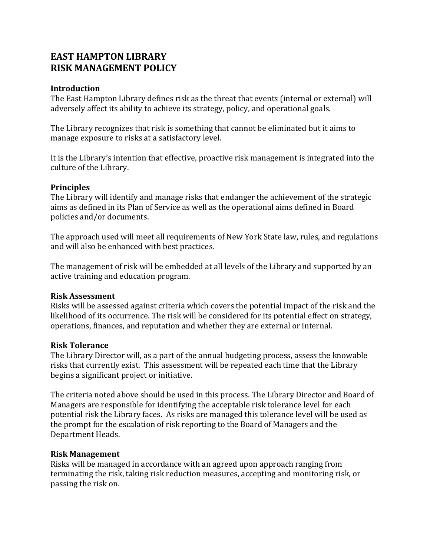# **EAST HAMPTON LIBRARY RISK MANAGEMENT POLICY**

### **Introduction**

The East Hampton Library defines risk as the threat that events (internal or external) will adversely affect its ability to achieve its strategy, policy, and operational goals.

The Library recognizes that risk is something that cannot be eliminated but it aims to manage exposure to risks at a satisfactory level.

It is the Library's intention that effective, proactive risk management is integrated into the culture of the Library.

#### **Principles**

The Library will identify and manage risks that endanger the achievement of the strategic aims as defined in its Plan of Service as well as the operational aims defined in Board policies and/or documents.

The approach used will meet all requirements of New York State law, rules, and regulations and will also be enhanced with best practices.

The management of risk will be embedded at all levels of the Library and supported by an active training and education program.

#### **Risk Assessment**

Risks will be assessed against criteria which covers the potential impact of the risk and the likelihood of its occurrence. The risk will be considered for its potential effect on strategy, operations, finances, and reputation and whether they are external or internal.

#### **Risk Tolerance**

The Library Director will, as a part of the annual budgeting process, assess the knowable risks that currently exist. This assessment will be repeated each time that the Library begins a significant project or initiative.

The criteria noted above should be used in this process. The Library Director and Board of Managers are responsible for identifying the acceptable risk tolerance level for each potential risk the Library faces. As risks are managed this tolerance level will be used as the prompt for the escalation of risk reporting to the Board of Managers and the Department Heads.

#### **Risk Management**

Risks will be managed in accordance with an agreed upon approach ranging from terminating the risk, taking risk reduction measures, accepting and monitoring risk, or passing the risk on.